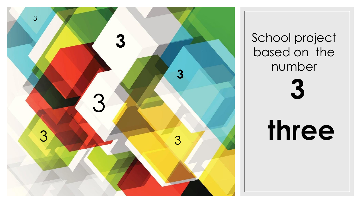

School project based on the number **three**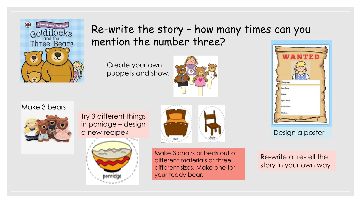

## Re-write the story – how many times can you mention the number three?

Create your own puppets and show.







Try 3 different things in porridge – design





Make 3 chairs or beds out of different materials or three different sizes. Make one for your teddy bear.



Re-write or re-tell the story in your own way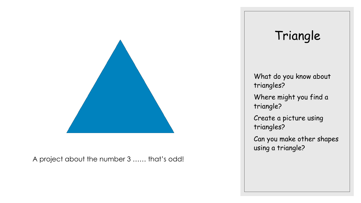

A project about the number 3 …… that's odd!

## Triangle

What do you know about triangles? Where might you find a triangle? Create a picture using triangles? Can you make other shapes using a triangle?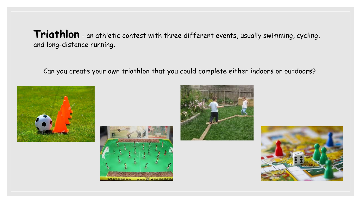**Triathlon** - an athletic contest with three different events, usually swimming, cycling, and long-distance running.

Can you create your own triathlon that you could complete either indoors or outdoors?







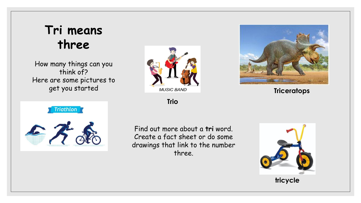## **Tri means three**

How many things can you think of? Here are some pictures to get you started



**Trio**

**Triceratops**



Find out more about a **tri** word. Create a fact sheet or do some drawings that link to the number three.



**tricycle**